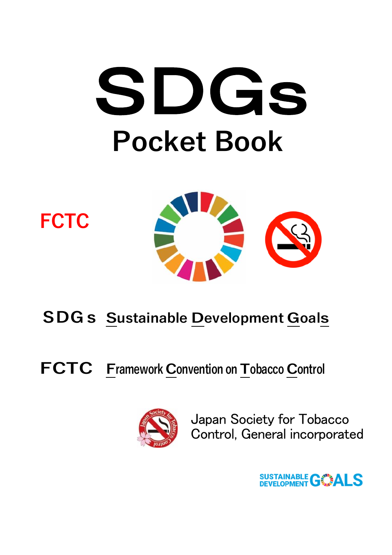# SDGs **Pocket Book**





## **SDGs Sustainable Development Goals**

**FCTC Framework Convention on Tobacco Control**



Japan Society for Tobacco Control, General incorporated

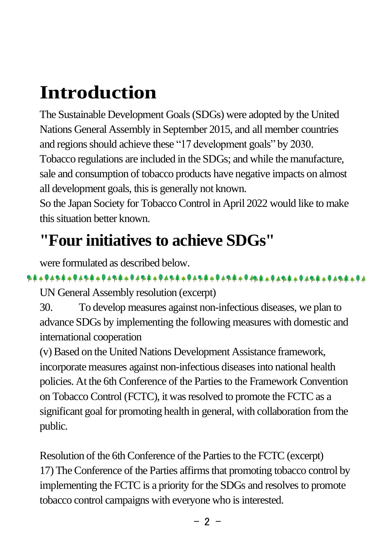# **Introduction**

The Sustainable Development Goals(SDGs) were adopted by the United Nations General Assembly in September 2015, and all member countries and regions should achieve these "17 development goals" by 2030. Tobacco regulations are included in the SDGs; and while the manufacture, sale and consumption of tobacco products have negative impacts on almost all development goals, this is generally not known.

So the Japan Society for Tobacco Control in April 2022 would like to make this situation better known.

## **"Four initiatives to achieve SDGs"**

were formulated as described below.

UN General Assembly resolution (excerpt)

30. To develop measures against non-infectious diseases, we plan to advance SDGs by implementing the following measures with domestic and international cooperation

(v) Based on the United Nations Development Assistance framework, incorporate measures against non-infectious diseases into national health policies. At the 6th Conference of the Parties to the Framework Convention on Tobacco Control (FCTC), it was resolved to promote the FCTC as a significant goal for promoting health in general, with collaboration from the public.

Resolution of the 6th Conference of the Parties to the FCTC (excerpt) 17) The Conference of the Parties affirms that promoting tobacco control by implementing the FCTC is a priority for the SDGs and resolves to promote tobacco control campaigns with everyone who is interested.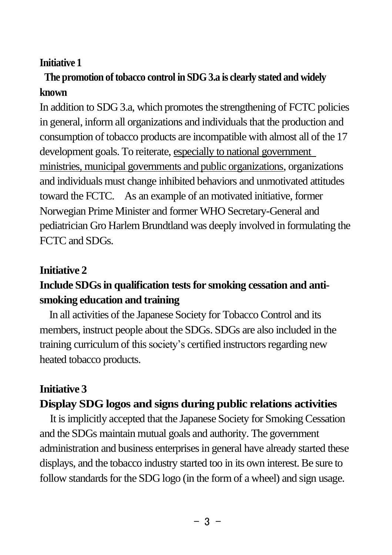#### **Initiative 1**

#### **The promotion of tobacco control in SDG 3.a is clearly stated and widely known**

In addition to SDG 3.a, which promotes the strengthening of FCTC policies in general, inform all organizations and individuals that the production and consumption of tobacco products are incompatible with almost all of the 17 development goals. To reiterate, especially to national government ministries, municipal governments and public organizations, organizations and individuals must change inhibited behaviors and unmotivated attitudes toward the FCTC. As an example of an motivated initiative, former Norwegian Prime Minister and former WHO Secretary-General and pediatrician Gro Harlem Brundtland was deeply involved in formulating the FCTC and SDGs.

#### **Initiative 2**

#### **Include SDGs in qualification tests for smoking cessation and antismoking education and training**

In all activities of the Japanese Society for Tobacco Control and its members, instruct people about the SDGs. SDGs are also included in the training curriculum of this society's certified instructors regarding new heated tobacco products.

#### **Initiative 3 Display SDG logos and signs during public relations activities**

It is implicitly accepted that the Japanese Society for Smoking Cessation and the SDGs maintain mutual goals and authority. The government administration and business enterprises in general have already started these displays, and the tobacco industry started too in its own interest. Be sure to follow standards for the SDG logo (in the form of a wheel) and sign usage.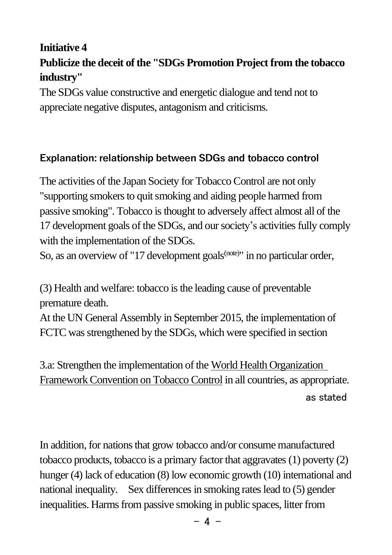#### **Initiative 4**

#### **Publicize the deceit of the "SDGs Promotion Project from the tobacco industry"**

The SDGs value constructive and energetic dialogue and tend not to appreciate negative disputes, antagonism and criticisms.

#### **Explanation: relationship between SDGs and tobacco control**

The activities of the Japan Society for Tobacco Control are not only "supporting smokers to quit smoking and aiding people harmed from passive smoking". Tobacco is thought to adversely affect almost all of the 17 development goals of the SDGs, and our society's activities fully comply with the implementation of the SDGs.

So, as an overview of "17 development goals<sup>(note)</sup>" in no particular order,

(3) Health and welfare: tobacco is the leading cause of preventable premature death.

At the UN General Assembly in September 2015, the implementation of FCTC was strengthened by the SDGs, which were specified in section

3.a: Strengthen the implementation of the World Health Organization Framework Convention on Tobacco Control in all countries, as appropriate. as stated

In addition, for nations that grow tobacco and/or consume manufactured tobacco products, tobacco is a primary factor that aggravates (1) poverty (2) hunger (4) lack of education (8) low economic growth (10) international and national inequality. Sex differences in smoking rates lead to (5) gender inequalities. Harms from passive smoking in public spaces, litter from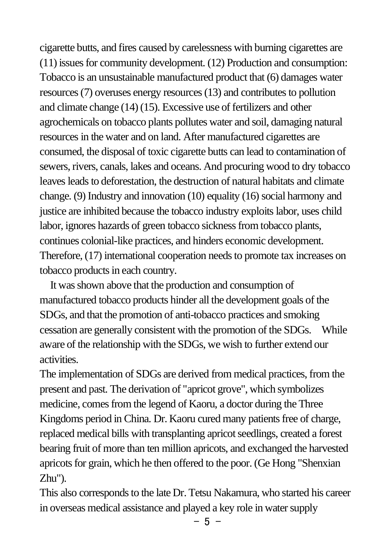cigarette butts, and fires caused by carelessness with burning cigarettes are (11) issues for community development. (12) Production and consumption: Tobacco is an unsustainable manufactured product that (6) damages water resources (7) overuses energy resources (13) and contributes to pollution and climate change (14) (15). Excessive use of fertilizers and other agrochemicals on tobacco plants pollutes water and soil, damaging natural resources in the water and on land. After manufactured cigarettes are consumed, the disposal of toxic cigarette butts can lead to contamination of sewers, rivers, canals, lakes and oceans. And procuring wood to dry tobacco leaves leads to deforestation, the destruction of natural habitats and climate change. (9) Industry and innovation (10) equality (16) social harmony and justice are inhibited because the tobacco industry exploits labor, uses child labor, ignores hazards of green tobacco sickness from tobacco plants, continues colonial-like practices, and hinders economic development. Therefore, (17) international cooperation needs to promote tax increases on tobacco products in each country.

 It was shown above that the production and consumption of manufactured tobacco products hinder all the development goals of the SDGs, and that the promotion of anti-tobacco practices and smoking cessation are generally consistent with the promotion of the SDGs. While aware of the relationship with the SDGs, we wish to further extend our activities.

The implementation of SDGs are derived from medical practices, from the present and past. The derivation of "apricot grove", which symbolizes medicine, comes from the legend of Kaoru, a doctor during the Three Kingdoms period in China. Dr. Kaoru cured many patients free of charge, replaced medical bills with transplanting apricot seedlings, created a forest bearing fruit of more than ten million apricots, and exchanged the harvested apricots for grain, which he then offered to the poor. (Ge Hong "Shenxian Zhu").

This also corresponds to the late Dr. Tetsu Nakamura, who started his career in overseas medical assistance and played a key role in water supply

 $-5 -$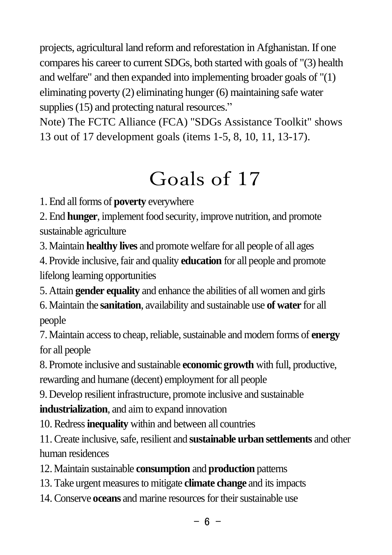projects, agricultural land reform and reforestation in Afghanistan. If one compares his career to current SDGs, both started with goals of "(3) health and welfare" and then expanded into implementing broader goals of "(1) eliminating poverty (2) eliminating hunger (6) maintaining safe water supplies (15) and protecting natural resources."

Note) The FCTC Alliance (FCA) "SDGs Assistance Toolkit" shows 13 out of 17 development goals (items 1-5, 8, 10, 11, 13-17).

## Goals of 17

1. End all forms of **poverty** everywhere

2. End **hunger**, implement food security, improve nutrition, and promote sustainable agriculture sustainable agriculture

3. Maintain **healthy lives** and promote welfare for all people of all ages

4. Provide inclusive, fair and quality **education** for all people and promote lifelong learning opportunities

5. Attain **gender equality** and enhance the abilities of all women and girls

6. Maintain the **sanitation**, availability and sustainable use **of water** for all people

7. Maintain access to cheap, reliable, sustainable and modern forms of **energy** for all people

8. Promote inclusive and sustainable **economic growth** with full, productive, rewarding and humane (decent) employment for all people

9. Develop resilient infrastructure, promote inclusive and sustainable

**industrialization**, and aim to expand innovation

10. Redress**inequality** within and between all countries

11. Create inclusive, safe, resilient and **sustainable urban settlements** and other human residences

12. Maintain sustainable **consumption** and **production** patterns

- 13. Take urgent measures to mitigate **climate change** and its impacts
- 14. Conserve **oceans** and marine resources for their sustainable use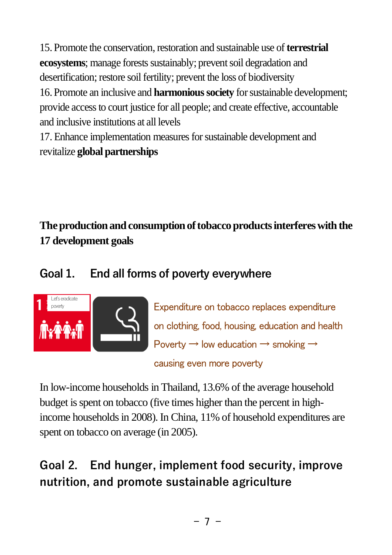15. Promote the conservation, restoration and sustainable use of **terrestrial ecosystems**; manage forests sustainably; prevent soil degradation and desertification; restore soil fertility; prevent the loss of biodiversity 16. Promote an inclusive and **harmonious society** for sustainable development; provide access to court justice for all people; and create effective, accountable and inclusive institutions at all levels

17. Enhance implementation measures for sustainable development and revitalize **global partnerships**

**The production and consumption of tobacco products interferes with the 17 development goals**

#### **Goal 1. End all forms of poverty everywhere**



Expenditure on tobacco replaces expenditure on clothing, food, housing, education and health Poverty  $\rightarrow$  low education  $\rightarrow$  smoking  $\rightarrow$ causing even more poverty

In low-income households in Thailand, 13.6% of the average household budget is spent on tobacco (five times higher than the percent in highincome households in 2008). In China, 11% of household expenditures are spent on tobacco on average (in 2005).

## **Goal 2. End hunger, implement food security, improve nutrition, and promote sustainable agriculture**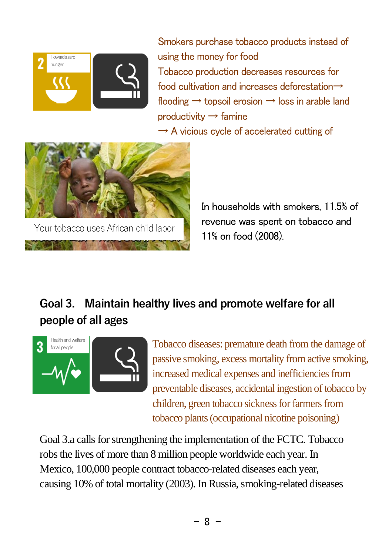

Smokers purchase tobacco products instead of using the money for food Tobacco production decreases resources for food cultivation and increases deforestation→ flooding  $\rightarrow$  topsoil erosion  $\rightarrow$  loss in arable land productivity  $\rightarrow$  famine

 $\rightarrow$  A vicious cycle of accelerated cutting of



 In households with smokers, 11.5% of revenue was spent on tobacco and 11% on food (2008).

### **Goal 3. Maintain healthy lives and promote welfare for all people of all ages**



Tobacco diseases: premature death from the damage of passive smoking, excess mortality from active smoking, increased medical expenses and inefficiencies from preventable diseases, accidental ingestion of tobacco by children, green tobacco sickness for farmers from tobacco plants (occupational nicotine poisoning)

Goal 3.a calls for strengthening the implementation of the FCTC. Tobacco robs the lives of more than 8 million people worldwide each year. In Mexico, 100,000 people contract tobacco-related diseases each year, causing 10% of total mortality (2003). In Russia, smoking-related diseases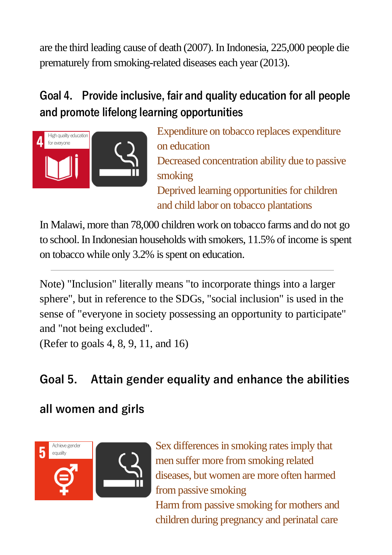are the third leading cause of death (2007). In Indonesia, 225,000 people die prematurely from smoking-related diseases each year (2013).

## **Goal 4. Provide inclusive, fair and quality education for all people and promote lifelong learning opportunities**



Expenditure on tobacco replaces expenditure on education Decreased concentration ability due to passive smoking Deprived learning opportunities for children and child labor on tobacco plantations

In Malawi, more than 78,000 children work on tobacco farms and do not go to school. In Indonesian households with smokers, 11.5% of income is spent on tobacco while only 3.2% is spent on education.

Note) "Inclusion" literally means "to incorporate things into a larger sphere", but in reference to the SDGs, "social inclusion" is used in the sense of "everyone in society possessing an opportunity to participate" and "not being excluded".

(Refer to goals 4, 8, 9, 11, and 16)

## **Goal 5. Attain gender equality and enhance the abilities**

### **all women and girls**



children during pregnancy and perinatal care Sex differences in smoking rates imply that men suffer more from smoking related diseases, but women are more often harmed from passive smoking Harm from passive smoking for mothers and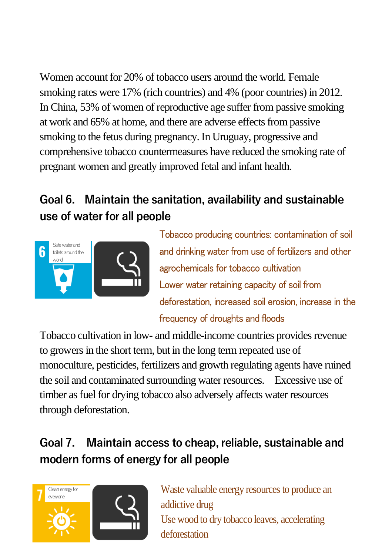Women account for 20% of tobacco users around the world. Female smoking rates were 17% (rich countries) and 4% (poor countries) in 2012. In China, 53% of women of reproductive age suffer from passive smoking at work and 65% at home, and there are adverse effects from passive smoking to the fetus during pregnancy. In Uruguay, progressive and comprehensive tobacco countermeasures have reduced the smoking rate of pregnant women and greatly improved fetal and infant health.

## **Goal 6. Maintain the sanitation, availability and sustainable use of water for all people**



Tobacco producing countries: contamination of soil and drinking water from use of fertilizers and other agrochemicals for tobacco cultivation Lower water retaining capacity of soil from deforestation, increased soil erosion, increase in the frequency of droughts and floods

Tobacco cultivation in low- and middle-income countries provides revenue to growers in the short term, but in the long term repeated use of monoculture, pesticides, fertilizers and growth regulating agents have ruined the soil and contaminated surrounding water resources. Excessive use of timber as fuel for drying tobacco also adversely affects water resources through deforestation.

### **Goal 7. Maintain access to cheap, reliable, sustainable and modern forms of energy for all people**



Use wood to dry tobacco leaves, accelerating Waste valuable energy resources to produce an addictive drug deforestation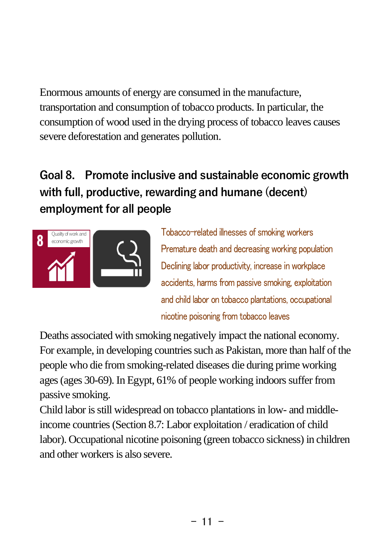Enormous amounts of energy are consumed in the manufacture, transportation and consumption of tobacco products. In particular, the consumption of wood used in the drying process of tobacco leaves causes severe deforestation and generates pollution.

## **Goal 8. Promote inclusive and sustainable economic growth with full, productive, rewarding and humane (decent) employment for all people**



Tobacco-related illnesses of smoking workers Premature death and decreasing working population Declining labor productivity, increase in workplace accidents, harms from passive smoking, exploitation and child labor on tobacco plantations, occupational nicotine poisoning from tobacco leaves

Deaths associated with smoking negatively impact the national economy. For example, in developing countries such as Pakistan, more than half of the people who die from smoking-related diseases die during prime working ages (ages 30-69). In Egypt, 61% of people working indoors suffer from passive smoking.

Child labor is still widespread on tobacco plantations in low- and middleincome countries (Section 8.7: Labor exploitation / eradication of child labor). Occupational nicotine poisoning (green tobacco sickness) in children and other workers is also severe.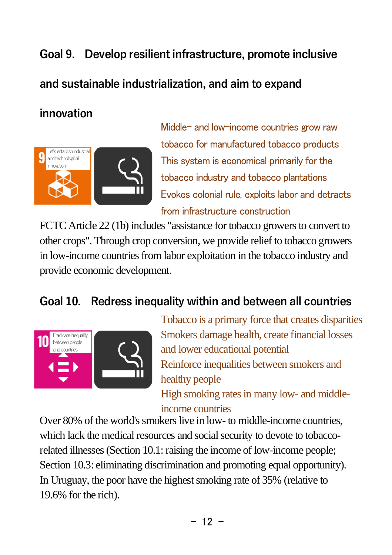#### **Goal 9. Develop resilient infrastructure, promote inclusive**

#### **and sustainable industrialization, and aim to expand**

#### **innovation**



Middle- and low-income countries grow raw tobacco for manufactured tobacco products This system is economical primarily for the tobacco industry and tobacco plantations Evokes colonial rule, exploits labor and detracts from infrastructure construction

FCTC Article 22 (1b) includes "assistance for tobacco growers to convert to other crops". Through crop conversion, we provide relief to tobacco growers in low-income countries from labor exploitation in the tobacco industry and provide economic development.

#### **Goal 10. Redress inequality within and between all countries**



Tobacco is a primary force that creates disparities Smokers damage health, create financial losses and lower educational potential Reinforce inequalities between smokers and healthy people High smoking rates in many low- and middleincome countries

Over 80% of the world's smokers live in low- to middle-income countries, which lack the medical resources and social security to devote to tobaccorelated illnesses (Section 10.1: raising the income of low-income people; Section 10.3: eliminating discrimination and promoting equal opportunity). In Uruguay, the poor have the highest smoking rate of 35% (relative to 19.6% for the rich).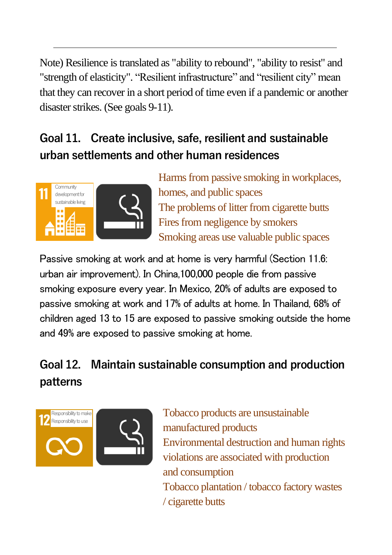Note) Resilience is translated as "ability to rebound", "ability to resist" and "strength of elasticity". "Resilient infrastructure" and "resilient city" mean that they can recover in a short period of time even if a pandemic or another disaster strikes. (See goals 9-11).

### **Goal 11. Create inclusive, safe, resilient and sustainable urban settlements and other human residences**



Harms from passive smoking in workplaces, homes, and public spaces The problems of litter from cigarette butts Fires from negligence by smokers Smoking areas use valuable public spaces

Passive smoking at work and at home is very harmful (Section 11.6: urban air improvement). In China,100,000 people die from passive smoking exposure every year. In Mexico, 20% of adults are exposed to passive smoking at work and 17% of adults at home. In Thailand, 68% of children aged 13 to 15 are exposed to passive smoking outside the home and 49% are exposed to passive smoking at home.

## **Goal 12. Maintain sustainable consumption and production patterns**



Tobacco products are unsustainable manufactured products Environmental destruction and human rights violations are associated with production and consumption Tobacco plantation / tobacco factory wastes / cigarette butts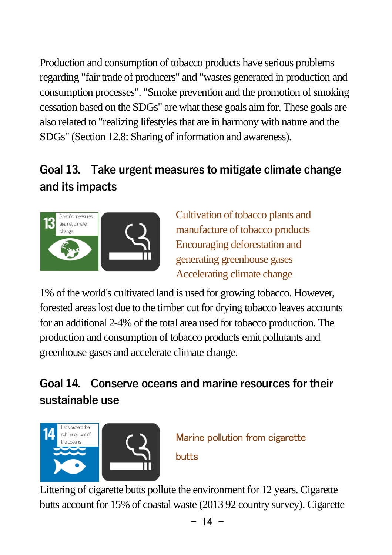Production and consumption of tobacco products have serious problems regarding "fair trade of producers" and "wastes generated in production and consumption processes". "Smoke prevention and the promotion of smoking cessation based on the SDGs" are what these goals aim for. These goals are also related to "realizing lifestyles that are in harmony with nature and the SDGs" (Section 12.8: Sharing of information and awareness).

## **Goal 13. Take urgent measures to mitigate climate change and its impacts**



Cultivation of tobacco plants and manufacture of tobacco products Encouraging deforestation and generating greenhouse gases Accelerating climate change

1% of the world's cultivated land is used for growing tobacco. However, forested areas lost due to the timber cut for drying tobacco leaves accounts for an additional 2-4% of the total area used for tobacco production. The production and consumption of tobacco products emit pollutants and greenhouse gases and accelerate climate change.

## **Goal 14. Conserve oceans and marine resources for their sustainable use**



Marine pollution from cigarette butts

Littering of cigarette butts pollute the environment for 12 years. Cigarette butts account for 15% of coastal waste (2013 92 country survey). Cigarette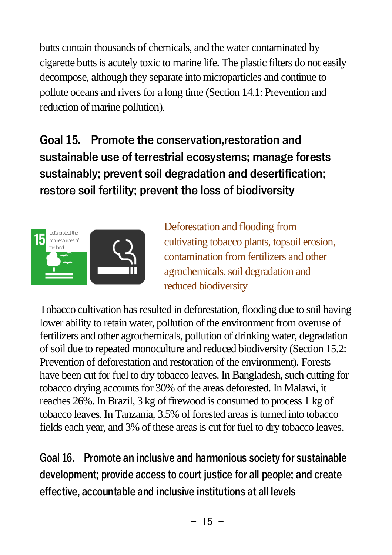butts contain thousands of chemicals, and the water contaminated by cigarette butts is acutely toxic to marine life. The plastic filters do not easily decompose, although they separate into microparticles and continue to pollute oceans and rivers for a long time (Section 14.1: Prevention and reduction of marine pollution).

**Goal 15. Promote the conservation,restoration and sustainable use of terrestrial ecosystems; manage forests sustainably; prevent soil degradation and desertification; restore soil fertility; prevent the loss of biodiversity**



Deforestation and flooding from cultivating tobacco plants, topsoil erosion, contamination from fertilizers and other agrochemicals, soil degradation and reduced biodiversity

Tobacco cultivation has resulted in deforestation, flooding due to soil having lower ability to retain water, pollution of the environment from overuse of fertilizers and other agrochemicals, pollution of drinking water, degradation of soil due to repeated monoculture and reduced biodiversity (Section 15.2: Prevention of deforestation and restoration of the environment). Forests have been cut for fuel to dry tobacco leaves. In Bangladesh, such cutting for tobacco drying accounts for 30% of the areas deforested. In Malawi, it reaches 26%. In Brazil, 3 kg of firewood is consumed to process 1 kg of tobacco leaves. In Tanzania, 3.5% of forested areas is turned into tobacco fields each year, and 3% of these areas is cut for fuel to dry tobacco leaves.

**Goal 16. Promote an inclusive and harmonious society for sustainable development; provide access to court justice for all people; and create effective, accountable and inclusive institutions at all levels**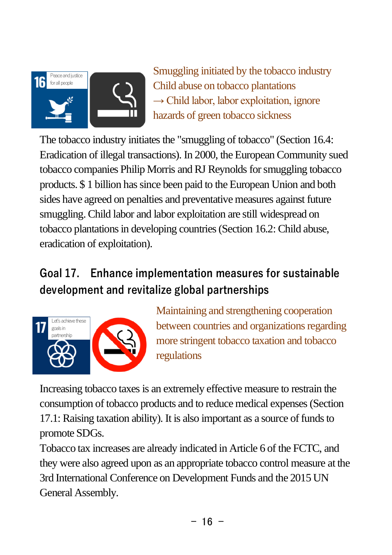

Smuggling initiated by the tobacco industry Child abuse on tobacco plantations  $\rightarrow$  Child labor, labor exploitation, ignore hazards of green tobacco sickness

The tobacco industry initiates the "smuggling of tobacco" (Section 16.4: Eradication of illegal transactions). In 2000, the European Community sued tobacco companies Philip Morris and RJ Reynolds for smuggling tobacco products. \$ 1 billion has since been paid to the European Union and both sides have agreed on penalties and preventative measures against future smuggling. Child labor and labor exploitation are still widespread on tobacco plantations in developing countries (Section 16.2: Child abuse, eradication of exploitation).

## **Goal 17. Enhance implementation measures for sustainable development and revitalize global partnerships**



Maintaining and strengthening cooperation between countries and organizations regarding more stringent tobacco taxation and tobacco regulations

Increasing tobacco taxes is an extremely effective measure to restrain the consumption of tobacco products and to reduce medical expenses (Section 17.1: Raising taxation ability). It is also important as a source of funds to promote SDGs.

Tobacco tax increases are already indicated in Article 6 of the FCTC, and they were also agreed upon as an appropriate tobacco control measure at the 3rd International Conference on Development Funds and the 2015 UN General Assembly.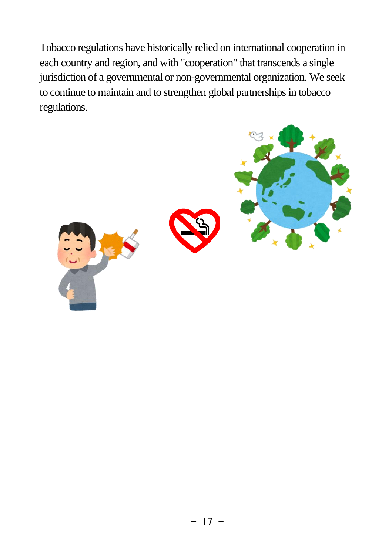Tobacco regulations have historically relied on international cooperation in each country and region, and with "cooperation" that transcends a single jurisdiction of a governmental or non-governmental organization. We seek to continue to maintain and to strengthen global partnerships in tobacco regulations.

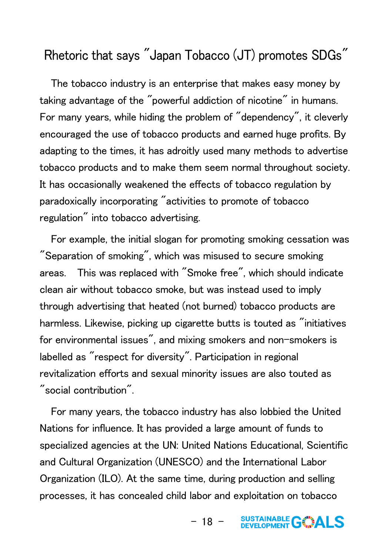#### Rhetoric that says "Japan Tobacco (JT) promotes SDGs"

 The tobacco industry is an enterprise that makes easy money by taking advantage of the "powerful addiction of nicotine" in humans. For many years, while hiding the problem of "dependency", it cleverly encouraged the use of tobacco products and earned huge profits. By adapting to the times, it has adroitly used many methods to advertise tobacco products and to make them seem normal throughout society. It has occasionally weakened the effects of tobacco regulation by paradoxically incorporating "activities to promote of tobacco regulation" into tobacco advertising.

 For example, the initial slogan for promoting smoking cessation was "Separation of smoking", which was misused to secure smoking areas. This was replaced with "Smoke free", which should indicate clean air without tobacco smoke, but was instead used to imply through advertising that heated (not burned) tobacco products are harmless. Likewise, picking up cigarette butts is touted as "initiatives for environmental issues", and mixing smokers and non-smokers is labelled as "respect for diversity". Participation in regional revitalization efforts and sexual minority issues are also touted as "social contribution".

 For many years, the tobacco industry has also lobbied the United Nations for influence. It has provided a large amount of funds to specialized agencies at the UN: United Nations Educational, Scientific and Cultural Organization (UNESCO) and the International Labor Organization (ILO). At the same time, during production and selling processes, it has concealed child labor and exploitation on tobacco

> SUSTAINABLE GOALS  $-18 -$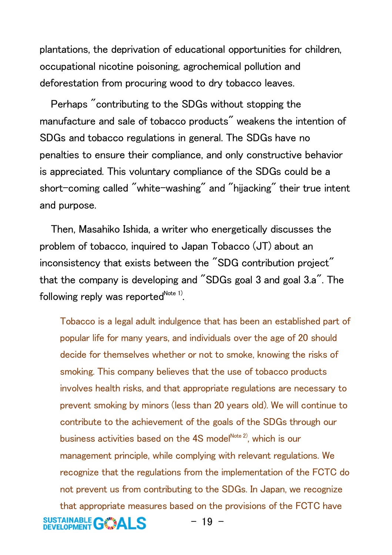plantations, the deprivation of educational opportunities for children, occupational nicotine poisoning, agrochemical pollution and deforestation from procuring wood to dry tobacco leaves.

 Perhaps "contributing to the SDGs without stopping the manufacture and sale of tobacco products" weakens the intention of SDGs and tobacco regulations in general. The SDGs have no penalties to ensure their compliance, and only constructive behavior is appreciated. This voluntary compliance of the SDGs could be a short-coming called "white-washing" and "hijacking" their true intent and purpose.

 Then, Masahiko Ishida, a writer who energetically discusses the problem of tobacco, inquired to Japan Tobacco (JT) about an inconsistency that exists between the "SDG contribution project" that the company is developing and "SDGs goal 3 and goal 3.a". The following reply was reported $^\mathsf{Note\:1)}$ .

Tobacco is a legal adult indulgence that has been an established part of popular life for many years, and individuals over the age of 20 should decide for themselves whether or not to smoke, knowing the risks of smoking. This company believes that the use of tobacco products involves health risks, and that appropriate regulations are necessary to prevent smoking by minors (less than 20 years old). We will continue to contribute to the achievement of the goals of the SDGs through our business activities based on the 4S model<sup>Note 2</sup>, which is our management principle, while complying with relevant regulations. We recognize that the regulations from the implementation of the FCTC do not prevent us from contributing to the SDGs. In Japan, we recognize that appropriate measures based on the provisions of the FCTC have **SUSTAINABLE GOALS**  $-19 -$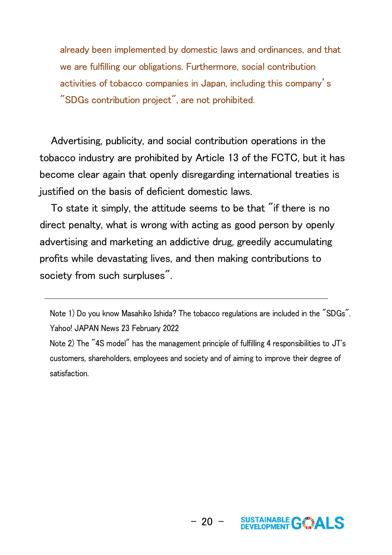already been implemented by domestic laws and ordinances, and that we are fulfilling our obligations. Furthermore, social contribution activities of tobacco companies in Japan, including this company's "SDGs contribution project", are not prohibited.

 Advertising, publicity, and social contribution operations in the tobacco industry are prohibited by Article 13 of the FCTC, but it has become clear again that openly disregarding international treaties is justified on the basis of deficient domestic laws.

 To state it simply, the attitude seems to be that "if there is no direct penalty, what is wrong with acting as good person by openly advertising and marketing an addictive drug, greedily accumulating profits while devastating lives, and then making contributions to society from such surpluses".

Note 1) Do you know Masahiko Ishida? The tobacco regulations are included in the "SDGs". Yahoo! JAPAN News 23 February 2022

Note 2) The "4S model" has the management principle of fulfilling 4 responsibilities to JT's customers, shareholders, employees and society and of aiming to improve their degree of satisfaction.